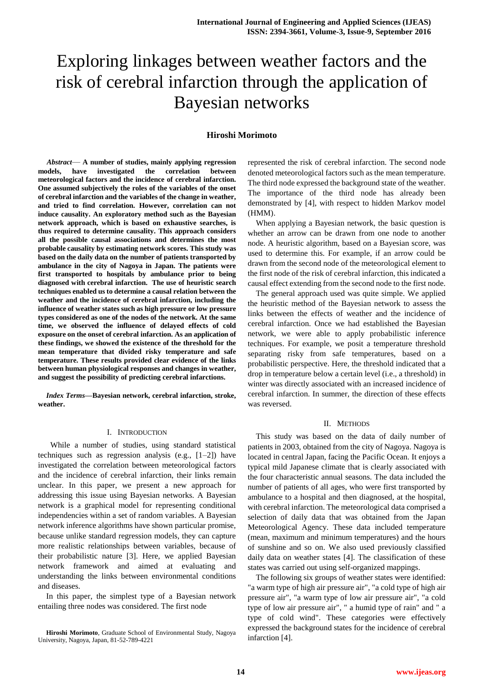# Exploring linkages between weather factors and the risk of cerebral infarction through the application of Bayesian networks

# **Hiroshi Morimoto**

*Abstract*— **A number of studies, mainly applying regression models, have investigated the correlation between meteorological factors and the incidence of cerebral infarction. One assumed subjectively the roles of the variables of the onset of cerebral infarction and the variables of the change in weather, and tried to find correlation. However, correlation can not induce causality. An exploratory method such as the Bayesian network approach, which is based on exhaustive searches, is thus required to determine causality. This approach considers all the possible causal associations and determines the most probable causality by estimating network scores. This study was based on the daily data on the number of patients transported by ambulance in the city of Nagoya in Japan. The patients were first transported to hospitals by ambulance prior to being diagnosed with cerebral infarction. The use of heuristic search techniques enabled us to determine a causal relation between the weather and the incidence of cerebral infarction, including the influence of weather states such as high pressure or low pressure types considered as one of the nodes of the network. At the same time, we observed the influence of delayed effects of cold exposure on the onset of cerebral infarction. As an application of these findings, we showed the existence of the threshold for the mean temperature that divided risky temperature and safe temperature. These results provided clear evidence of the links between human physiological responses and changes in weather, and suggest the possibility of predicting cerebral infarctions.**

*Index Terms***—Bayesian network, cerebral infarction, stroke, weather.** 

# I. INTRODUCTION

 While a number of studies, using standard statistical techniques such as regression analysis (e.g.,  $[1-2]$ ) have investigated the correlation between meteorological factors and the incidence of cerebral infarction, their links remain unclear. In this paper, we present a new approach for addressing this issue using Bayesian networks. A Bayesian network is a graphical model for representing conditional independencies within a set of random variables. A Bayesian network inference algorithms have shown particular promise, because unlike standard regression models, they can capture more realistic relationships between variables, because of their probabilistic nature [3]. Here, we applied Bayesian network framework and aimed at evaluating and understanding the links between environmental conditions and diseases.

In this paper, the simplest type of a Bayesian network entailing three nodes was considered. The first node

represented the risk of cerebral infarction. The second node denoted meteorological factors such as the mean temperature. The third node expressed the background state of the weather. The importance of the third node has already been demonstrated by [4], with respect to hidden Markov model (HMM).

When applying a Bayesian network, the basic question is whether an arrow can be drawn from one node to another node. A heuristic algorithm, based on a Bayesian score, was used to determine this. For example, if an arrow could be drawn from the second node of the meteorological element to the first node of the risk of cerebral infarction, this indicated a causal effect extending from the second node to the first node.

The general approach used was quite simple. We applied the heuristic method of the Bayesian network to assess the links between the effects of weather and the incidence of cerebral infarction. Once we had established the Bayesian network, we were able to apply probabilistic inference techniques. For example, we posit a temperature threshold separating risky from safe temperatures, based on a probabilistic perspective. Here, the threshold indicated that a drop in temperature below a certain level (i.e., a threshold) in winter was directly associated with an increased incidence of cerebral infarction. In summer, the direction of these effects was reversed.

# II. METHODS

This study was based on the data of daily number of patients in 2003, obtained from the city of Nagoya. Nagoya is located in central Japan, facing the Pacific Ocean. It enjoys a typical mild Japanese climate that is clearly associated with the four characteristic annual seasons. The data included the number of patients of all ages, who were first transported by ambulance to a hospital and then diagnosed, at the hospital, with cerebral infarction. The meteorological data comprised a selection of daily data that was obtained from the Japan Meteorological Agency. These data included temperature (mean, maximum and minimum temperatures) and the hours of sunshine and so on. We also used previously classified daily data on weather states [4]. The classification of these states was carried out using self-organized mappings.

The following six groups of weather states were identified: "a warm type of high air pressure air", "a cold type of high air pressure air", "a warm type of low air pressure air", "a cold type of low air pressure air", " a humid type of rain" and " a type of cold wind". These categories were effectively expressed the background states for the incidence of cerebral infarction [4].

**Hiroshi Morimoto**, Graduate School of Environmental Study, Nagoya University, Nagoya, Japan, 81-52-789-4221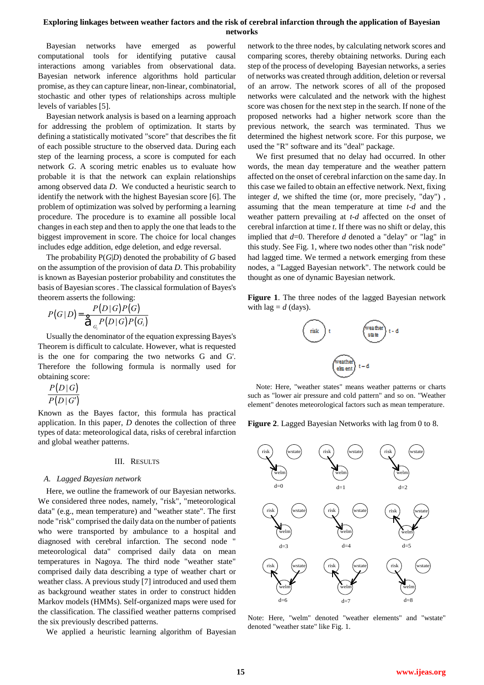# **Exploring linkages between weather factors and the risk of cerebral infarction through the application of Bayesian networks**

Bayesian networks have emerged as powerful computational tools for identifying putative causal interactions among variables from observational data. Bayesian network inference algorithms hold particular promise, as they can capture linear, non-linear, combinatorial, stochastic and other types of relationships across multiple levels of variables [5].

Bayesian network analysis is based on a learning approach for addressing the problem of optimization. It starts by defining a statistically motivated "score" that describes the fit of each possible structure to the observed data. During each step of the learning process, a score is computed for each network *G*. A scoring metric enables us to evaluate how probable it is that the network can explain relationships among observed data *D*. We conducted a heuristic search to identify the network with the highest Bayesian score [6]. The problem of optimization was solved by performing a learning procedure. The procedure is to examine all possible local changes in each step and then to apply the one that leads to the biggest improvement in score. The choice for local changes includes edge addition, edge deletion, and edge reversal.

The probability P(*G*|*D*) denoted the probability of *G* based on the assumption of the provision of data *D*. This probability is known as Bayesian posterior probability and constitutes the basis of Bayesian scores . The classical formulation of Bayes's theorem asserts the following:

$$
P(G | D) = \frac{P(D | G) P(G)}{\hat{\sigma}_{G_i} P(D | G) P(G_i)}
$$

Usually the denominator of the equation expressing Bayes's Theorem is difficult to calculate. However, what is requested is the one for comparing the two networks G and G'. Therefore the following formula is normally used for obtaining score:

$$
\frac{P(D|G)}{P(D|G')}
$$

Known as the Bayes factor, this formula has practical application. In this paper, *D* denotes the collection of three types of data: meteorological data, risks of cerebral infarction and global weather patterns.

### III. RESULTS

#### *A. Lagged Bayesian network*

Here, we outline the framework of our Bayesian networks. We considered three nodes, namely, "risk", "meteorological data" (e.g., mean temperature) and "weather state". The first node "risk" comprised the daily data on the number of patients who were transported by ambulance to a hospital and diagnosed with cerebral infarction. The second node " meteorological data" comprised daily data on mean temperatures in Nagoya. The third node "weather state" comprised daily data describing a type of weather chart or weather class. A previous study [7] introduced and used them as background weather states in order to construct hidden Markov models (HMMs). Self-organized maps were used for the classification. The classified weather patterns comprised the six previously described patterns.

We applied a heuristic learning algorithm of Bayesian

network to the three nodes, by calculating network scores and comparing scores, thereby obtaining networks. During each step of the process of developing Bayesian networks, a series of networks was created through addition, deletion or reversal of an arrow. The network scores of all of the proposed networks were calculated and the network with the highest score was chosen for the next step in the search. If none of the proposed networks had a higher network score than the previous network, the search was terminated. Thus we determined the highest network score. For this purpose, we used the "R" software and its "deal" package.

We first presumed that no delay had occurred. In other words, the mean day temperature and the weather pattern affected on the onset of cerebral infarction on the same day. In this case we failed to obtain an effective network. Next, fixing integer *d*, we shifted the time (or, more precisely, "day") , assuming that the mean temperature at time *t-d* and the weather pattern prevailing at *t-d* affected on the onset of cerebral infarction at time *t*. If there was no shift or delay, this implied that *d*=0. Therefore *d* denoted a "delay" or "lag" in this study. See Fig. 1, where two nodes other than "risk node" had lagged time. We termed a network emerging from these nodes, a "Lagged Bayesian network". The network could be thought as one of dynamic Bayesian network.

**Figure 1**. The three nodes of the lagged Bayesian network with  $\log = d$  (days).



Note: Here, "weather states" means weather patterns or charts such as "lower air pressure and cold pattern" and so on. "Weather element" denotes meteorological factors such as mean temperature.

**Figure 2**. Lagged Bayesian Networks with lag from 0 to 8.



Note: Here, "welm" denoted "weather elements" and "wstate" denoted "weather state" like Fig. 1.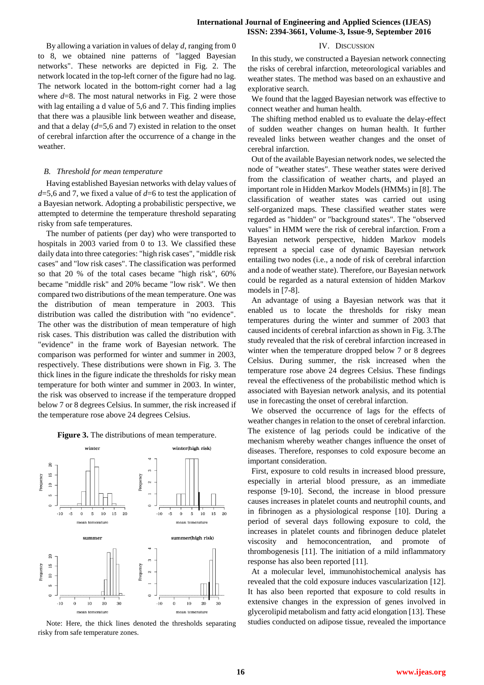IV. DISCUSSION

By allowing a variation in values of delay *d*, ranging from 0 to 8, we obtained nine patterns of "lagged Bayesian networks". These networks are depicted in Fig. 2. The network located in the top-left corner of the figure had no lag. The network located in the bottom-right corner had a lag where  $d=8$ . The most natural networks in Fig. 2 were those with lag entailing a d value of 5,6 and 7. This finding implies that there was a plausible link between weather and disease, and that a delay (*d*=5,6 and 7) existed in relation to the onset of cerebral infarction after the occurrence of a change in the weather.

#### *B. Threshold for mean temperature*

Having established Bayesian networks with delay values of *d*=5,6 and 7, we fixed a value of *d*=6 to test the application of a Bayesian network. Adopting a probabilistic perspective, we attempted to determine the temperature threshold separating risky from safe temperatures.

The number of patients (per day) who were transported to hospitals in 2003 varied from 0 to 13. We classified these daily data into three categories: "high risk cases", "middle risk cases" and "low risk cases". The classification was performed so that 20 % of the total cases became "high risk", 60% became "middle risk" and 20% became "low risk". We then compared two distributions of the mean temperature. One was the distribution of mean temperature in 2003. This distribution was called the distribution with "no evidence". The other was the distribution of mean temperature of high risk cases. This distribution was called the distribution with "evidence" in the frame work of Bayesian network. The comparison was performed for winter and summer in 2003, respectively. These distributions were shown in Fig. 3. The thick lines in the figure indicate the thresholds for risky mean temperature for both winter and summer in 2003. In winter, the risk was observed to increase if the temperature dropped below 7 or 8 degrees Celsius. In summer, the risk increased if the temperature rose above 24 degrees Celsius.

#### **Figure 3.** The distributions of mean temperature.



Note: Here, the thick lines denoted the thresholds separating risky from safe temperature zones.

In this study, we constructed a Bayesian network connecting the risks of cerebral infarction, meteorological variables and weather states. The method was based on an exhaustive and explorative search.

We found that the lagged Bayesian network was effective to connect weather and human health.

The shifting method enabled us to evaluate the delay-effect of sudden weather changes on human health. It further revealed links between weather changes and the onset of cerebral infarction.

Out of the available Bayesian network nodes, we selected the node of "weather states". These weather states were derived from the classification of weather charts, and played an important role in Hidden Markov Models (HMMs) in [8]. The classification of weather states was carried out using self-organized maps. These classified weather states were regarded as "hidden" or "background states". The "observed values" in HMM were the risk of cerebral infarction. From a Bayesian network perspective, hidden Markov models represent a special case of dynamic Bayesian network entailing two nodes (i.e., a node of risk of cerebral infarction and a node of weather state). Therefore, our Bayesian network could be regarded as a natural extension of hidden Markov models in [7-8].

An advantage of using a Bayesian network was that it enabled us to locate the thresholds for risky mean temperatures during the winter and summer of 2003 that caused incidents of cerebral infarction as shown in Fig. 3.The study revealed that the risk of cerebral infarction increased in winter when the temperature dropped below 7 or 8 degrees Celsius. During summer, the risk increased when the temperature rose above 24 degrees Celsius. These findings reveal the effectiveness of the probabilistic method which is associated with Bayesian network analysis, and its potential use in forecasting the onset of cerebral infarction.

We observed the occurrence of lags for the effects of weather changes in relation to the onset of cerebral infarction. The existence of lag periods could be indicative of the mechanism whereby weather changes influence the onset of diseases. Therefore, responses to cold exposure become an important consideration.

First, exposure to cold results in increased blood pressure, especially in arterial blood pressure, as an immediate response [9-10]. Second, the increase in blood pressure causes increases in platelet counts and neutrophil counts, and in fibrinogen as a physiological response [10]. During a period of several days following exposure to cold, the increases in platelet counts and fibrinogen deduce platelet viscosity and hemoconcentration, and promote of thrombogenesis [11]. The initiation of a mild inflammatory response has also been reported [11].

At a molecular level, immunohistochemical analysis has revealed that the cold exposure induces vascularization [12]. It has also been reported that exposure to cold results in extensive changes in the expression of genes involved in glycerolipid metabolism and fatty acid elongation [13]. These studies conducted on adipose tissue, revealed the importance